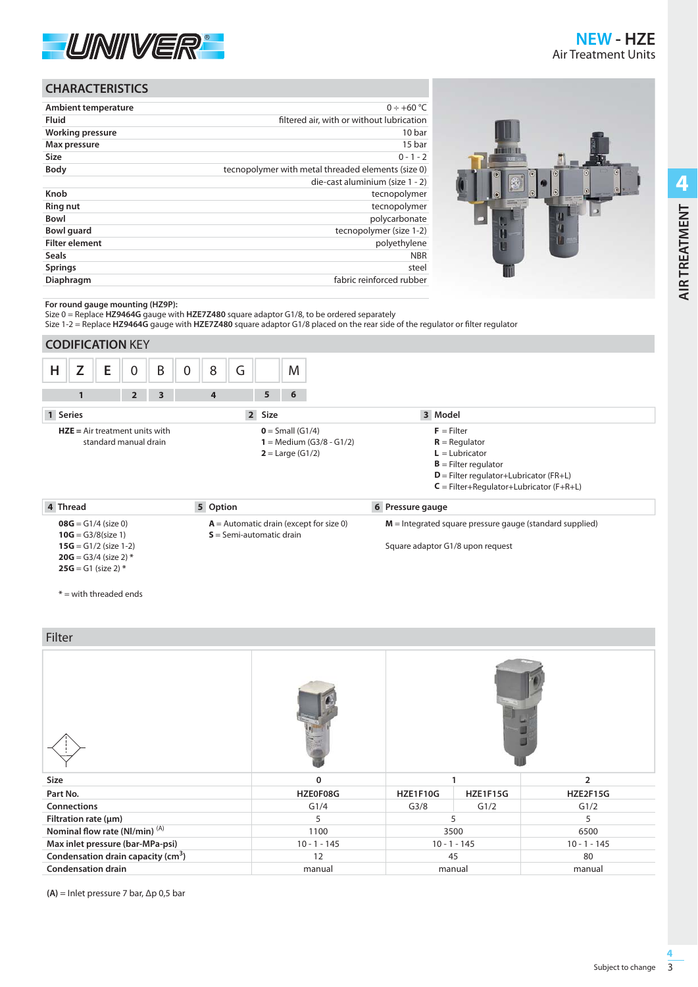

**AIR TREATMENT** 

**AIR TREATMENT**

# **CHARACTERISTICS**

| <b>Ambient temperature</b> | $0 \div +60$ °C                                    |
|----------------------------|----------------------------------------------------|
| <b>Fluid</b>               | filtered air, with or without lubrication          |
| <b>Working pressure</b>    | 10 bar                                             |
| Max pressure               | 15 bar                                             |
| <b>Size</b>                | $0 - 1 - 2$                                        |
| <b>Body</b>                | tecnopolymer with metal threaded elements (size 0) |
|                            | die-cast aluminium (size 1 - 2)                    |
| Knob                       | tecnopolymer                                       |
| <b>Ring nut</b>            | tecnopolymer                                       |
| <b>Bowl</b>                | polycarbonate                                      |
| <b>Bowl</b> guard          | tecnopolymer (size 1-2)                            |
| <b>Filter element</b>      | polyethylene                                       |
| <b>Seals</b>               | <b>NBR</b>                                         |
| <b>Springs</b>             | steel                                              |
| Diaphragm                  | fabric reinforced rubber                           |
|                            |                                                    |



**For round gauge mounting (HZ9P):**

Size 0 = Replace **HZ9464G** gauge with **HZE7Z480** square adaptor G1/8, to be ordered separately

Size 1-2 = Replace HZ9464G gauge with HZE7Z480 square adaptor G1/8 placed on the rear side of the regulator or filter regulator

|                                                                                                                               | <b>CODIFICATION KEY</b> |                                                                               |                                                                                                                                                                         |                       |        |                  |
|-------------------------------------------------------------------------------------------------------------------------------|-------------------------|-------------------------------------------------------------------------------|-------------------------------------------------------------------------------------------------------------------------------------------------------------------------|-----------------------|--------|------------------|
| Н                                                                                                                             | E<br>Z                  | 0                                                                             | B                                                                                                                                                                       | G<br>8<br>$\mathbf 0$ | M      |                  |
|                                                                                                                               | $\mathbf{1}$            | $\overline{2}$                                                                | 3                                                                                                                                                                       | $\overline{4}$        | 5<br>6 |                  |
| 1 Series                                                                                                                      |                         |                                                                               |                                                                                                                                                                         | $\overline{2}$        | Size   | 3 Model          |
| $HZE = Air treatment units with$<br>standard manual drain                                                                     |                         | $0 = Small (G1/4)$<br>1 = Medium $(G3/8 - G1/2)$<br><b>2</b> = Large $(G1/2)$ | $F =$ Filter<br>$R =$ Regulator<br>$L =$ Lubricator<br>$B =$ Filter regulator<br>$D$ = Filter regulator+Lubricator (FR+L)<br>$C = Filter+Regularort-Lubricator (F+R+L)$ |                       |        |                  |
| 4 Thread                                                                                                                      |                         |                                                                               |                                                                                                                                                                         | 5 Option              |        | 6 Pressure gauge |
| $08G = G1/4$ (size 0)<br>$10G = G3/8$ (size 1)<br>$15G = G1/2$ (size 1-2)<br>$20G = G3/4$ (size 2) *<br>$25G = G1$ (size 2) * |                         | $A =$ Automatic drain (except for size 0)<br>$S =$ Semi-automatic drain       | $M =$ Integrated square pressure gauge (standard supplied)<br>Square adaptor G1/8 upon request                                                                          |                       |        |                  |

**\*** = with threaded ends

Filter

| .                                              |                |                     |                |                |  |
|------------------------------------------------|----------------|---------------------|----------------|----------------|--|
|                                                |                |                     |                |                |  |
| Size                                           | $\Omega$       | $\overline{2}$      |                |                |  |
| Part No.                                       | HZE0F08G       | HZE1F10G            | HZE1F15G       | HZE2F15G       |  |
| Connections                                    | G1/4           | G <sub>3/8</sub>    | G1/2           | G1/2           |  |
| Filtration rate $(\mu m)$                      | 5              | 5<br>$\overline{5}$ |                |                |  |
| Nominal flow rate (NI/min) <sup>(A)</sup>      | 1100           | 3500<br>6500        |                |                |  |
| Max inlet pressure (bar-MPa-psi)               | $10 - 1 - 145$ |                     | $10 - 1 - 145$ | $10 - 1 - 145$ |  |
| Condensation drain capacity (cm <sup>3</sup> ) | 12             |                     | 45             | 80             |  |
| <b>Condensation drain</b>                      | manual         |                     | manual         | manual         |  |

**(A)** = Inlet pressure 7 bar, Δp 0,5 bar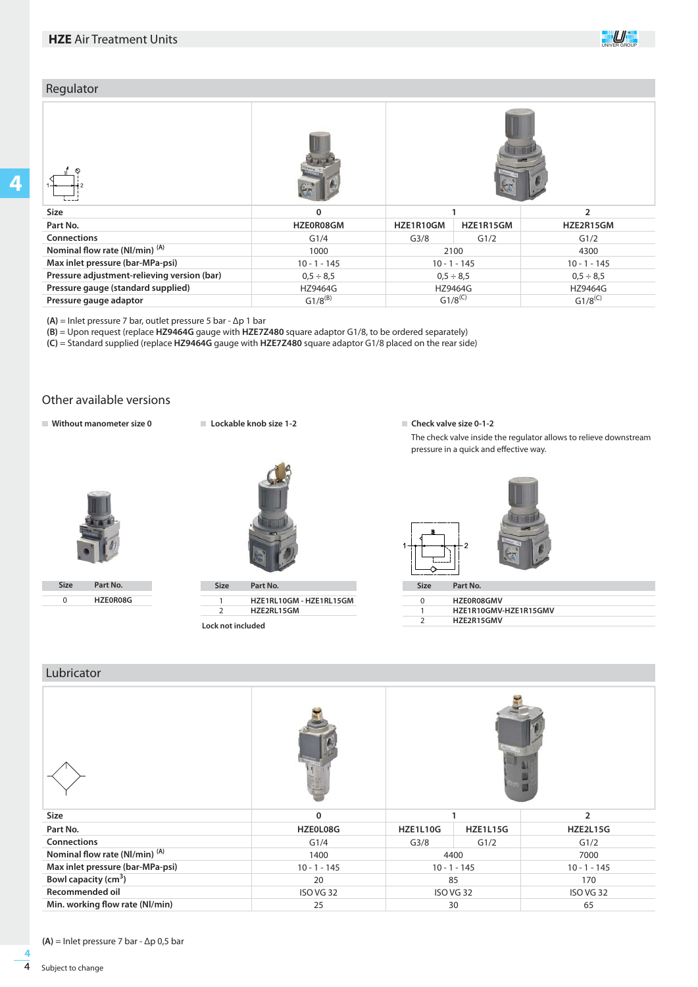## Regulator

| <b>Size</b>                                 | 0              |                  |                |                |  |  |  |  |
|---------------------------------------------|----------------|------------------|----------------|----------------|--|--|--|--|
| Part No.                                    | HZE0R08GM      | HZE1R10GM        | HZE1R15GM      | HZE2R15GM      |  |  |  |  |
| <b>Connections</b>                          | G1/4           | G <sub>3/8</sub> | G1/2           | G1/2           |  |  |  |  |
| Nominal flow rate (NI/min) <sup>(A)</sup>   | 1000           |                  | 2100           | 4300           |  |  |  |  |
| Max inlet pressure (bar-MPa-psi)            | $10 - 1 - 145$ |                  | $10 - 1 - 145$ | $10 - 1 - 145$ |  |  |  |  |
| Pressure adjustment-relieving version (bar) | $0.5 \div 8.5$ |                  | $0.5 \div 8.5$ | $0.5 \div 8.5$ |  |  |  |  |
| Pressure gauge (standard supplied)          | HZ9464G        |                  | HZ9464G        | HZ9464G        |  |  |  |  |
| Pressure gauge adaptor                      | $G1/8^{(B)}$   |                  | $G1/8^{(C)}$   | $G1/8^{(C)}$   |  |  |  |  |

**(A)** = Inlet pressure 7 bar, outlet pressure 5 bar - Δp 1 bar

**(B)** = Upon request (replace **HZ9464G** gauge with **HZE7Z480** square adaptor G1/8, to be ordered separately)

**(C)** = Standard supplied (replace **HZ9464G** gauge with **HZE7Z480** square adaptor G1/8 placed on the rear side)

## Other available versions

**Without manometer size 0 Check and Check valve size 0-1-2** Check valve size 0-1-2



**Size Part No.**  $\overline{0}$ **HZE0R08G**



1  $\overline{2}$ **HZE1RL10GM - HZE1RL15GM HZE2RL15GM**

**Lock not included**

The check valve inside the regulator allows to relieve downstream pressure in a quick and effective way.

UNIVER GROUP



### Lubricator

| Size                                      | $\mathbf 0$    |                  |                                  | $\overline{2}$  |  |
|-------------------------------------------|----------------|------------------|----------------------------------|-----------------|--|
| Part No.                                  | HZE0L08G       | <b>HZE1L10G</b>  | <b>HZE1L15G</b>                  | <b>HZE2L15G</b> |  |
| <b>Connections</b>                        | G1/4           | G <sub>3/8</sub> | G1/2                             | G1/2            |  |
| Nominal flow rate (NI/min) <sup>(A)</sup> | 1400           |                  | 4400<br>7000                     |                 |  |
| Max inlet pressure (bar-MPa-psi)          | $10 - 1 - 145$ |                  | $10 - 1 - 145$<br>$10 - 1 - 145$ |                 |  |
| Bowl capacity (cm <sup>3</sup> )          | 20             |                  | 85                               | 170             |  |
| Recommended oil                           | ISO VG 32      |                  | ISO VG 32                        | ISO VG 32       |  |
| Min. working flow rate (Nl/min)           | 25             |                  | 30                               | 65              |  |

**(A)** = Inlet pressure 7 bar - Δp 0,5 bar

**4**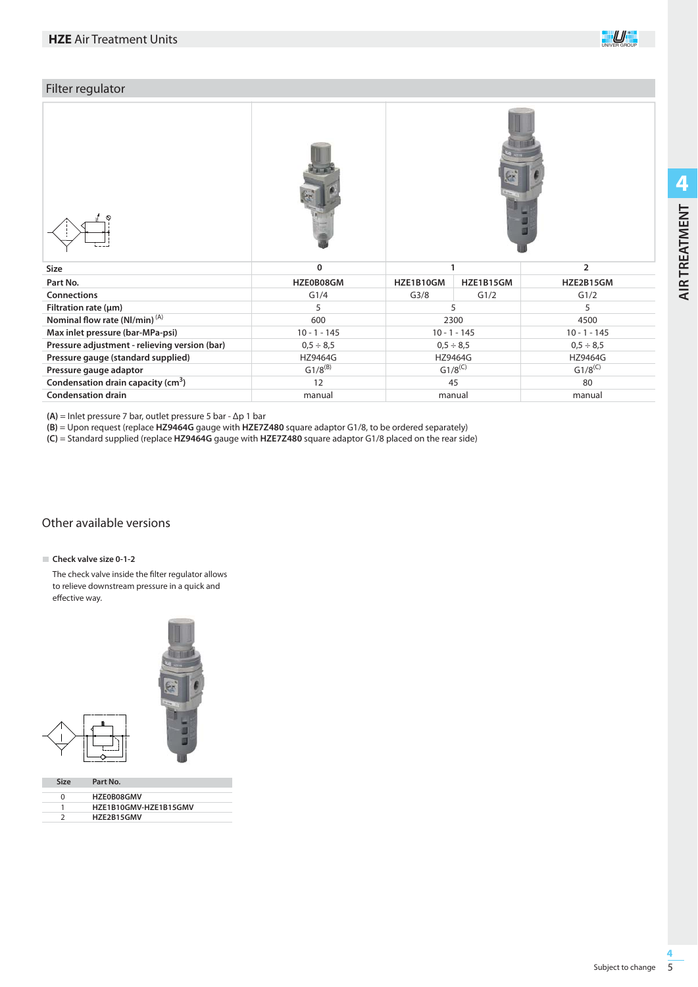

# Filter regulator

| Size                                           | 0              |                  | 1                                | $\overline{2}$ |  |
|------------------------------------------------|----------------|------------------|----------------------------------|----------------|--|
| Part No.                                       | HZE0B08GM      | HZE1B10GM        | HZE1B15GM                        | HZE2B15GM      |  |
| <b>Connections</b>                             | G1/4           | G <sub>3/8</sub> | G1/2                             | G1/2           |  |
| Filtration rate $(\mu m)$                      | 5              |                  | 5                                | 5              |  |
| Nominal flow rate (NI/min) <sup>(A)</sup>      | 600            |                  | 2300                             | 4500           |  |
| Max inlet pressure (bar-MPa-psi)               | $10 - 1 - 145$ |                  | $10 - 1 - 145$                   | $10 - 1 - 145$ |  |
| Pressure adjustment - relieving version (bar)  | $0,5 \div 8,5$ |                  | $0,5 \div 8,5$<br>$0,5 \div 8,5$ |                |  |
| Pressure gauge (standard supplied)             | HZ9464G        |                  | HZ9464G                          | HZ9464G        |  |
| Pressure gauge adaptor                         | $G1/8^{(B)}$   |                  | $G1/8^{(C)}$                     | $G1/8^{(C)}$   |  |
| Condensation drain capacity (cm <sup>3</sup> ) | 12             |                  | 45                               | 80             |  |
| <b>Condensation drain</b>                      | manual         |                  | manual                           | manual         |  |

**(A)** = Inlet pressure 7 bar, outlet pressure 5 bar - Δp 1 bar

**(B)** = Upon request (replace **HZ9464G** gauge with **HZE7Z480** square adaptor G1/8, to be ordered separately)

**(C)** = Standard supplied (replace **HZ9464G** gauge with **HZE7Z480** square adaptor G1/8 placed on the rear side)

## Other available versions

#### **Check valve size 0-1-2**

The check valve inside the filter regulator allows to relieve downstream pressure in a quick and effective way.



| <b>HZFOBO8GMV</b>     |
|-----------------------|
| HZE1B10GMV-HZE1B15GMV |
| H7F2B15GMV            |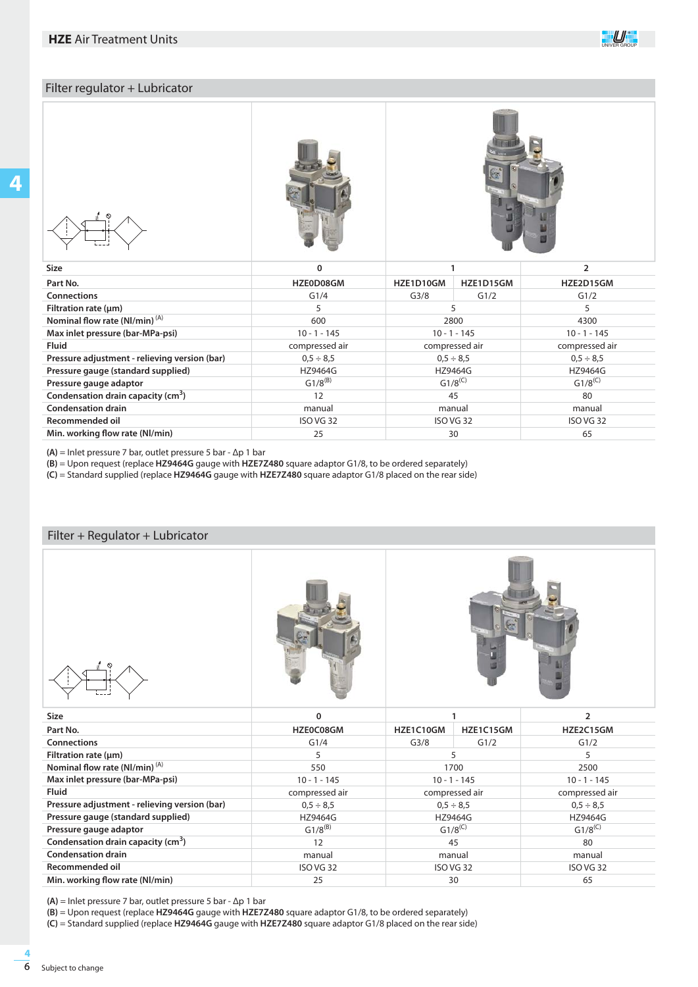# Filter regulator + Lubricator



| c |
|---|
|---|





| <b>Size</b>                                    | 0                |                  |           |                  |
|------------------------------------------------|------------------|------------------|-----------|------------------|
| Part No.                                       | HZE0D08GM        | HZE1D10GM        | HZE1D15GM | HZE2D15GM        |
| <b>Connections</b>                             | G1/4             | G <sub>3/8</sub> | G1/2      | G1/2             |
| Filtration rate $(\mu m)$                      | 5                |                  |           |                  |
| Nominal flow rate (NI/min) $(A)$               | 600              |                  | 2800      | 4300             |
| Max inlet pressure (bar-MPa-psi)               | $10 - 1 - 145$   | $10 - 1 - 145$   |           | $10 - 1 - 145$   |
| <b>Fluid</b>                                   | compressed air   | compressed air   |           | compressed air   |
| Pressure adjustment - relieving version (bar)  | $0.5 \div 8.5$   | $0.5 \div 8.5$   |           | $0.5 \div 8.5$   |
| Pressure gauge (standard supplied)             | HZ9464G          | HZ9464G          |           | <b>HZ9464G</b>   |
| Pressure gauge adaptor                         | $G1/8^{(B)}$     | $G1/8^{(C)}$     |           | $G1/8^{(C)}$     |
| Condensation drain capacity (cm <sup>3</sup> ) | 12               | 45               |           | 80               |
| <b>Condensation drain</b>                      | manual           | manual           |           | manual           |
| Recommended oil                                | <b>ISO VG 32</b> | ISO VG 32        |           | <b>ISO VG 32</b> |
| Min. working flow rate (NI/min)                | 25               | 30               |           | 65               |

**(A)** = Inlet pressure 7 bar, outlet pressure 5 bar - Δp 1 bar

**(B)** = Upon request (replace **HZ9464G** gauge with **HZE7Z480** square adaptor G1/8, to be ordered separately)

**(C)** = Standard supplied (replace **HZ9464G** gauge with **HZE7Z480** square adaptor G1/8 placed on the rear side)

| Filter + Regulator + Lubricator                                               |                |                |           |                |  |  |
|-------------------------------------------------------------------------------|----------------|----------------|-----------|----------------|--|--|
|                                                                               |                |                |           |                |  |  |
|                                                                               |                | 1              |           |                |  |  |
| <b>Size</b>                                                                   | $\mathbf 0$    |                |           | $\overline{2}$ |  |  |
| Part No.                                                                      | HZE0C08GM      | HZE1C10GM      | HZE1C15GM | HZE2C15GM      |  |  |
| <b>Connections</b>                                                            | G1/4           | G3/8           | G1/2      | G1/2           |  |  |
| Filtration rate (µm)                                                          | 5              | 5              |           | 5              |  |  |
|                                                                               | 550            | 1700           |           | 2500           |  |  |
| Nominal flow rate (Nl/min) <sup>(A)</sup><br>Max inlet pressure (bar-MPa-psi) | $10 - 1 - 145$ | $10 - 1 - 145$ |           | $10 - 1 - 145$ |  |  |
| <b>Fluid</b>                                                                  | compressed air | compressed air |           | compressed air |  |  |
| Pressure adjustment - relieving version (bar)                                 | $0.5 \div 8.5$ | $0.5 \div 8.5$ |           | $0.5 \div 8.5$ |  |  |
| Pressure gauge (standard supplied)                                            | <b>HZ9464G</b> | <b>HZ9464G</b> |           | <b>HZ9464G</b> |  |  |
| Pressure gauge adaptor                                                        | $G1/8^{(B)}$   | $G1/8^{(C)}$   |           | $G1/8^{(C)}$   |  |  |
| Condensation drain capacity (cm <sup>3</sup> )                                | 12             | 45             |           | 80             |  |  |
| <b>Condensation drain</b>                                                     | manual         | manual         |           | manual         |  |  |
| <b>Recommended oil</b>                                                        | ISO VG 32      | ISO VG 32      |           | ISO VG 32      |  |  |

**(A)** = Inlet pressure 7 bar, outlet pressure 5 bar - Δp 1 bar

**(B)** = Upon request (replace **HZ9464G** gauge with **HZE7Z480** square adaptor G1/8, to be ordered separately)

**(C)** = Standard supplied (replace **HZ9464G** gauge with **HZE7Z480** square adaptor G1/8 placed on the rear side)

**4**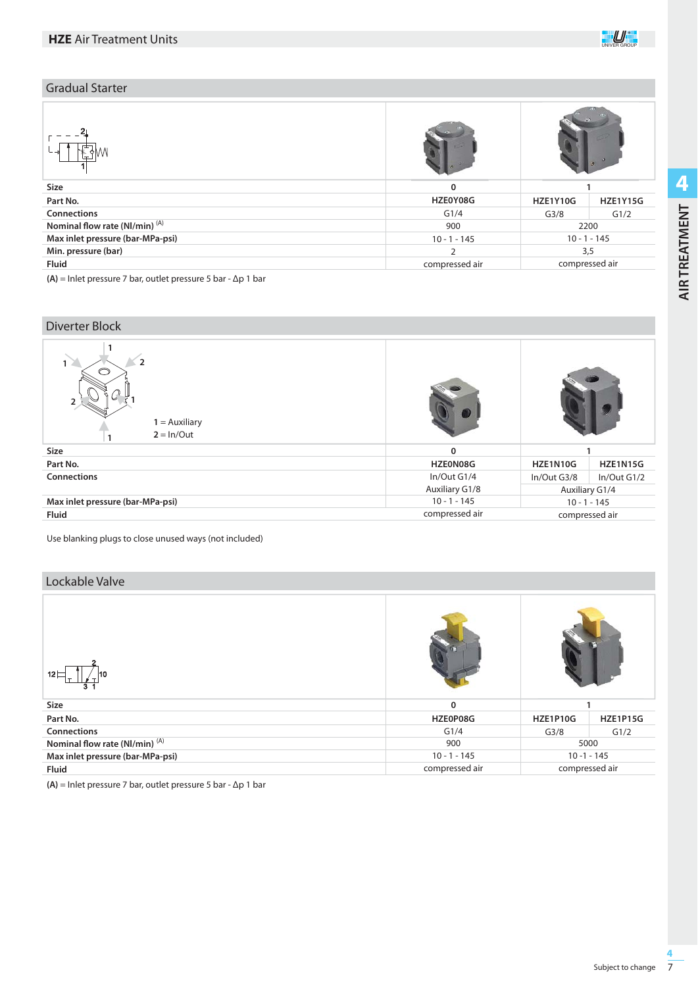

| <b>Gradual Starter</b>                    |                |                  |                 |  |
|-------------------------------------------|----------------|------------------|-----------------|--|
|                                           |                |                  |                 |  |
| Size                                      | $\Omega$       |                  |                 |  |
| Part No.                                  | HZE0Y08G       | <b>HZE1Y10G</b>  | <b>HZE1Y15G</b> |  |
| Connections                               | G1/4           | G <sub>3/8</sub> | G1/2            |  |
| Nominal flow rate (NI/min) <sup>(A)</sup> | 900            |                  | 2200            |  |
| Max inlet pressure (bar-MPa-psi)          | $10 - 1 - 145$ | $10 - 1 - 145$   |                 |  |
| Min. pressure (bar)                       | $\mathcal{D}$  |                  | 3,5             |  |
| <b>Fluid</b>                              | compressed air |                  | compressed air  |  |

**(A)** = Inlet pressure 7 bar, outlet pressure 5 bar - Δp 1 bar

| Diverter Block                                    |                                  |                |                 |  |
|---------------------------------------------------|----------------------------------|----------------|-----------------|--|
| $\overline{2}$<br>$1 =$ Auxiliary<br>$2 = ln/Out$ |                                  |                |                 |  |
| Size                                              | $\mathbf 0$                      |                |                 |  |
| Part No.                                          | HZE0N08G                         | HZE1N10G       | <b>HZE1N15G</b> |  |
| <b>Connections</b>                                | In/Out G1/4                      | In/Out G3/8    | In/Out G1/2     |  |
|                                                   | Auxiliary G1/8                   | Auxiliary G1/4 |                 |  |
| Max inlet pressure (bar-MPa-psi)                  | $10 - 1 - 145$<br>$10 - 1 - 145$ |                |                 |  |
| <b>Fluid</b>                                      | compressed air                   | compressed air |                 |  |

Use blanking plugs to close unused ways (not included)

## Lockable Valve

| $12 \Box$<br>10                           |                |                  |                 |  |
|-------------------------------------------|----------------|------------------|-----------------|--|
| Size                                      | 0              |                  |                 |  |
| Part No.                                  | HZE0P08G       | <b>HZE1P10G</b>  | <b>HZE1P15G</b> |  |
| Connections                               | G1/4           | G <sub>3/8</sub> | G1/2            |  |
| Nominal flow rate (NI/min) <sup>(A)</sup> | 900            |                  | 5000            |  |
| Max inlet pressure (bar-MPa-psi)          | $10 - 1 - 145$ |                  | $10 - 1 - 145$  |  |
| <b>Fluid</b>                              | compressed air |                  | compressed air  |  |

**(A)** = Inlet pressure 7 bar, outlet pressure 5 bar - Δp 1 bar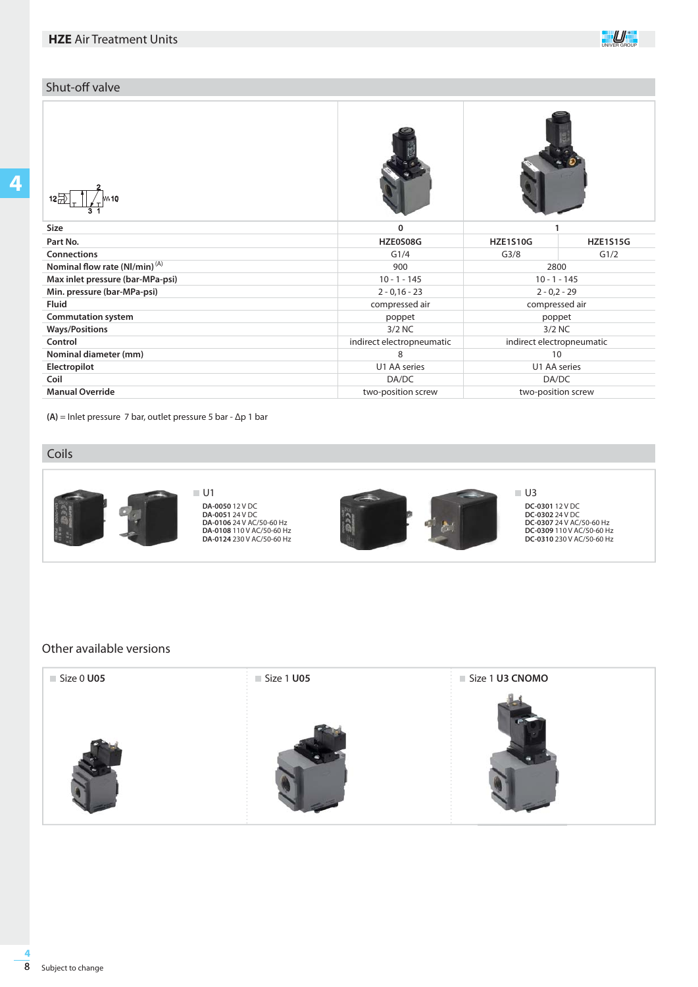## Shut-off valve

**HZE1S15G** G1/2

| $12\overline{7}$<br>w 10           |                           |                           |      |
|------------------------------------|---------------------------|---------------------------|------|
| <b>Size</b>                        | 0                         |                           |      |
| Part No.                           | HZE0S08G                  | <b>HZE1S10G</b>           | HZE1 |
| <b>Connections</b>                 | G1/4                      | G <sub>3/8</sub>          | G1   |
| Nominal flow rate $(Nl/min)^{(A)}$ | 900                       | 2800                      |      |
| Max inlet pressure (bar-MPa-psi)   | $10 - 1 - 145$            | $10 - 1 - 145$            |      |
| Min. pressure (bar-MPa-psi)        | $2 - 0.16 - 23$           | $2 - 0.2 - 29$            |      |
| <b>Fluid</b>                       | compressed air            | compressed air            |      |
| <b>Commutation system</b>          | poppet                    | poppet                    |      |
| <b>Ways/Positions</b>              | $3/2$ NC                  | $3/2$ NC                  |      |
| Control                            | indirect electropneumatic | indirect electropneumatic |      |
| Nominal diameter (mm)              | 8                         | 10                        |      |

**(A)** = Inlet pressure 7 bar, outlet pressure 5 bar - Δp 1 bar

### Coils

**Electropilot Coil**

**Manual Override**



**DA-0050** 12 V DC **DA-0051** 24 V DC **DA-0106** 24 V AC/50-60 Hz **DA-0108** 110 V AC/50-60 Hz **DA-0124** 230 V AC/50-60 Hz



U1 AA series DA/DC two-position screw

**DC-0301** 12 V DC **DC-0302** 24 V DC **DC-0307** 24 V AC/50-60 Hz **DC-0309** 110 V AC/50-60 Hz **DC-0310** 230 V AC/50-60 Hz

10 U1 AA series DA/DC two-position screw

## Other available versions

| Size 0 U05 | $\frac{1}{2}$ Size 1 U05 | $\frac{1}{2}$ Size 1 U3 CNOMO |
|------------|--------------------------|-------------------------------|
|            |                          |                               |

**4**